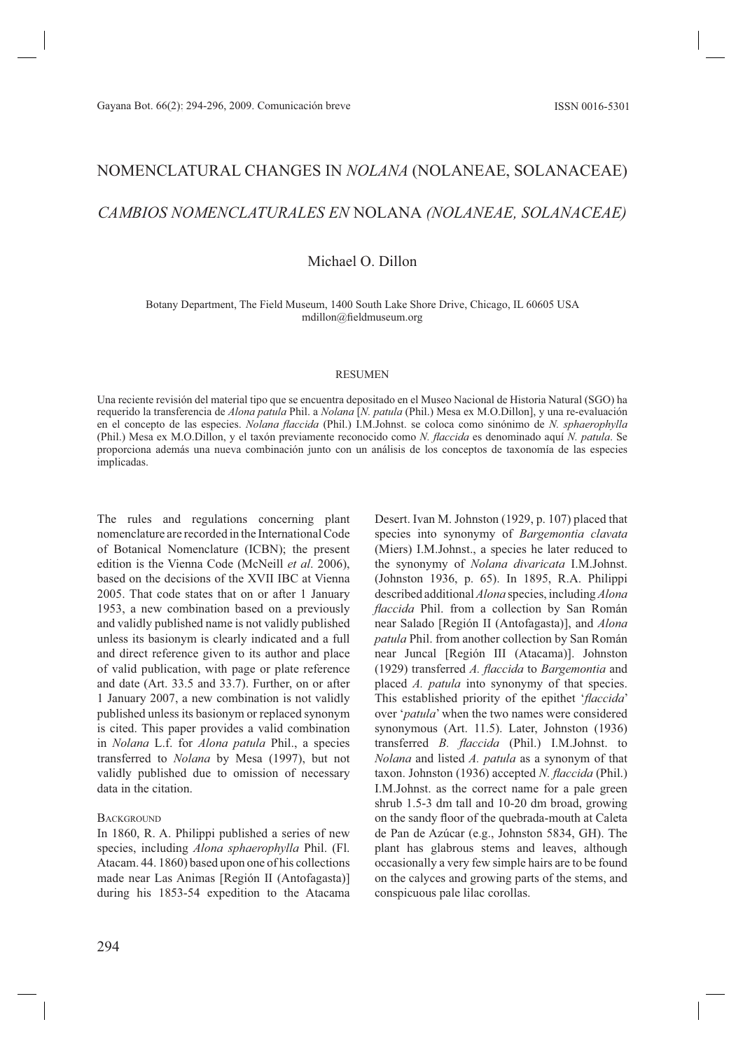# NOMENCLATURAL CHANGES IN NOLANA (NOLANEAE, SOLANACEAE) CAMBIOS NOMENCLATURALES EN NOLANA (NOLANEAE, SOLANACEAE)

## Michael O. Dillon

Botany Department, The Field Museum, 1400 South Lake Shore Drive, Chicago, IL 60605 USA mdillon@fieldmuseum.org

## **RESUMEN**

Una reciente revisión del material tipo que se encuentra depositado en el Museo Nacional de Historia Natural (SGO) ha requerido la transferencia de Alona patula Phil. a Nolana [N. patula (Phil.) Mesa ex M.O.Dillon], y una re-evaluación en el concepto de las especies. Nolana flaccida (Phil.) I.M.Johnst. se coloca como sinónimo de N. sphaerophylla (Phil.) Mesa ex M.O.Dillon, y el taxón previamente reconocido como N. flaccida es denominado aquí N. patula. Se proporciona además una nueva combinación junto con un análisis de los conceptos de taxonomía de las especies implicadas.

The rules and regulations concerning plant nomenclature are recorded in the International Code of Botanical Nomenclature (ICBN); the present edition is the Vienna Code (McNeill et al. 2006). based on the decisions of the XVII IBC at Vienna 2005. That code states that on or after 1 January 1953, a new combination based on a previously and validly published name is not validly published unless its basionym is clearly indicated and a full and direct reference given to its author and place of valid publication, with page or plate reference and date (Art. 33.5 and 33.7). Further, on or after 1 January 2007, a new combination is not validly published unless its basionym or replaced synonym is cited. This paper provides a valid combination in Nolana L.f. for Alona patula Phil., a species transferred to *Nolana* by Mesa (1997), but not validly published due to omission of necessary data in the citation.

## **BACKGROUND**

In 1860, R. A. Philippi published a series of new species, including Alona sphaerophylla Phil. (Fl. Atacam. 44. 1860) based upon one of his collections made near Las Animas [Región II (Antofagasta)] during his 1853-54 expedition to the Atacama

Desert. Ivan M. Johnston (1929, p. 107) placed that species into synonymy of Bargemontia clavata (Miers) I.M.Johnst., a species he later reduced to the synonymy of Nolana divaricata I.M.Johnst. (Johnston 1936, p. 65). In 1895, R.A. Philippi described additional Alona species, including Alona *flaccida* Phil. from a collection by San Román near Salado [Región II (Antofagasta)], and Alona *patula* Phil. from another collection by San Román near Juncal [Región III (Atacama)]. Johnston (1929) transferred A. flaccida to Bargemontia and placed A. patula into synonymy of that species. This established priority of the epithet 'flaccida' over 'patula' when the two names were considered synonymous (Art. 11.5). Later, Johnston (1936) transferred B. flaccida (Phil.) I.M.Johnst. to *Nolana* and listed A. *patula* as a synonym of that taxon. Johnston (1936) accepted N. flaccida (Phil.) I.M.Johnst. as the correct name for a pale green shrub 1.5-3 dm tall and 10-20 dm broad, growing on the sandy floor of the quebrada-mouth at Caleta de Pan de Azúcar (e.g., Johnston 5834, GH). The plant has glabrous stems and leaves, although occasionally a very few simple hairs are to be found on the calyces and growing parts of the stems, and conspicuous pale lilac corollas.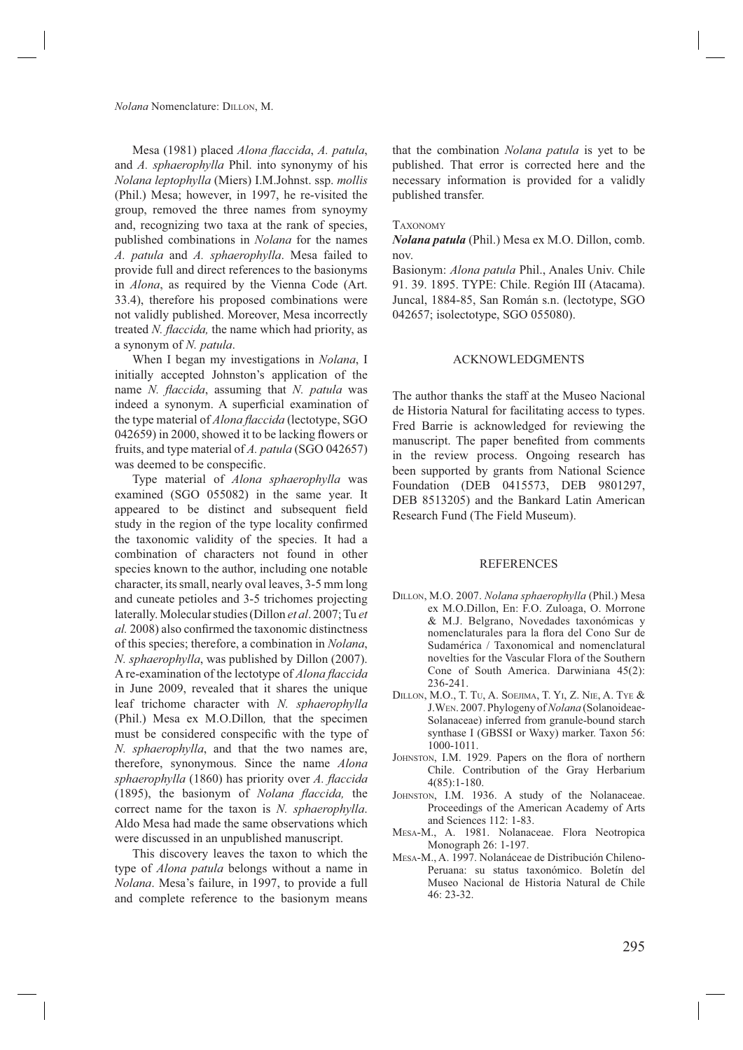#### Nolana Nomenclature: DILLON, M.

Mesa (1981) placed *Alona flaccida*, *A. patula*, and A. sphaerophylla Phil. into synonymy of his *Nolana leptophylla* (Miers) I.M.Johnst. ssp. *mollis* (Phil.) Mesa; however, in 1997, he re-visited the group, removed the three names from synoymy and, recognizing two taxa at the rank of species, published combinations in *Nolana* for the names A. patula and A. sphaerophylla. Mesa failed to provide full and direct references to the basionyms in *Alona*, as required by the Vienna Code (Art. 33.4), therefore his proposed combinations were not validly published. Moreover, Mesa incorrectly treated N. flaccida, the name which had priority, as a synonym of N. patula.

When I began my investigations in Nolana, I initially accepted Johnston's application of the name N. flaccida, assuming that N. patula was indeed a synonym. A superficial examination of the type material of *Alona flaccida* (lectotype, SGO 042659) in 2000, showed it to be lacking flowers or fruits, and type material of A. patula (SGO 042657) was deemed to be conspecific.

Type material of *Alona sphaerophylla* was examined (SGO 055082) in the same year. It appeared to be distinct and subsequent field study in the region of the type locality confirmed the taxonomic validity of the species. It had a combination of characters not found in other species known to the author, including one notable character, its small, nearly oval leaves, 3-5 mm long and cuneate petioles and 3-5 trichomes projecting laterally. Molecular studies (Dillon et al. 2007; Tu et al. 2008) also confirmed the taxonomic distinctness of this species; therefore, a combination in *Nolana*, N. sphaerophylla, was published by Dillon (2007). A re-examination of the lectotype of Alona flaccida in June 2009, revealed that it shares the unique leaf trichome character with N. sphaerophylla (Phil.) Mesa ex M.O.Dillon, that the specimen must be considered conspecific with the type of N. sphaerophylla, and that the two names are, therefore, synonymous. Since the name Alona sphaerophylla (1860) has priority over A. flaccida (1895), the basionym of Nolana flaccida, the correct name for the taxon is N. sphaerophylla. Aldo Mesa had made the same observations which were discussed in an unpublished manuscript.

This discovery leaves the taxon to which the type of *Alona patula* belongs without a name in Nolana. Mesa's failure, in 1997, to provide a full and complete reference to the basionym means

that the combination *Nolana patula* is yet to be published. That error is corrected here and the necessary information is provided for a validly published transfer.

#### **TAXONOMY**

Nolana patula (Phil.) Mesa ex M.O. Dillon, comb. nov.

Basionym: Alona patula Phil., Anales Univ. Chile 91. 39. 1895. TYPE: Chile. Región III (Atacama). Juncal, 1884-85, San Román s.n. (lectotype, SGO 042657; isolectotype, SGO 055080).

### **ACKNOWLEDGMENTS**

The author thanks the staff at the Museo Nacional de Historia Natural for facilitating access to types. Fred Barrie is acknowledged for reviewing the manuscript. The paper benefited from comments in the review process. Ongoing research has been supported by grants from National Science Foundation (DEB 0415573, DEB 9801297, DEB 8513205) and the Bankard Latin American Research Fund (The Field Museum).

#### **REFERENCES**

- DILLON, M.O. 2007. Nolana sphaerophylla (Phil.) Mesa ex M.O.Dillon, En: F.O. Zuloaga, O. Morrone & M.J. Belgrano, Novedades taxonómicas y nomenclaturales para la flora del Cono Sur de Sudamérica / Taxonomical and nomenclatural novelties for the Vascular Flora of the Southern Cone of South America. Darwiniana 45(2):  $236 - 241$
- DILLON, M.O., T. TU, A. SOEJIMA, T. YI, Z. NIE, A. TYE & J.WEN. 2007. Phylogeny of Nolana (Solanoideae-Solanaceae) inferred from granule-bound starch synthase I (GBSSI or Waxy) marker. Taxon 56:  $1000 - 1011.$
- JOHNSTON, I.M. 1929. Papers on the flora of northern Chile. Contribution of the Gray Herbarium  $4(85):1-180.$
- JOHNSTON, I.M. 1936. A study of the Nolanaceae. Proceedings of the American Academy of Arts and Sciences 112: 1-83.
- MESA-M., A. 1981. Nolanaceae. Flora Neotropica Monograph 26: 1-197.
- MESA-M., A. 1997. Nolanáceae de Distribución Chileno-Peruana: su status taxonómico. Boletín del Museo Nacional de Historia Natural de Chile 46: 23-32.